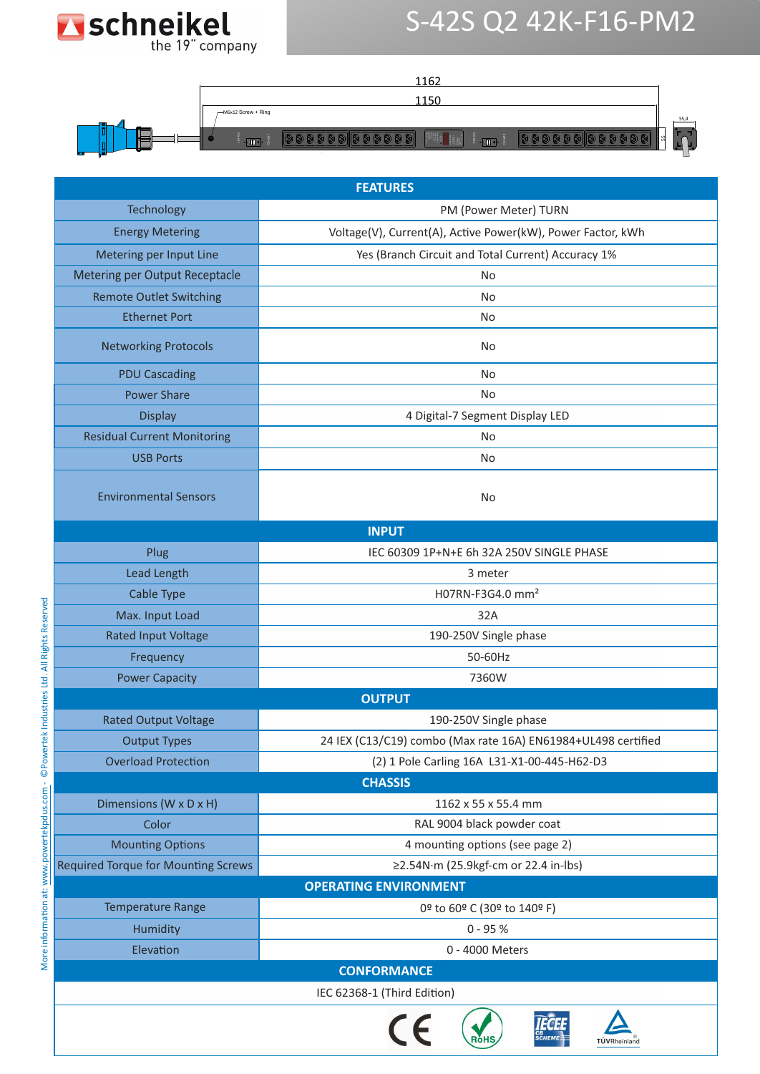

## S-42S Q2 42K-F16-PM2

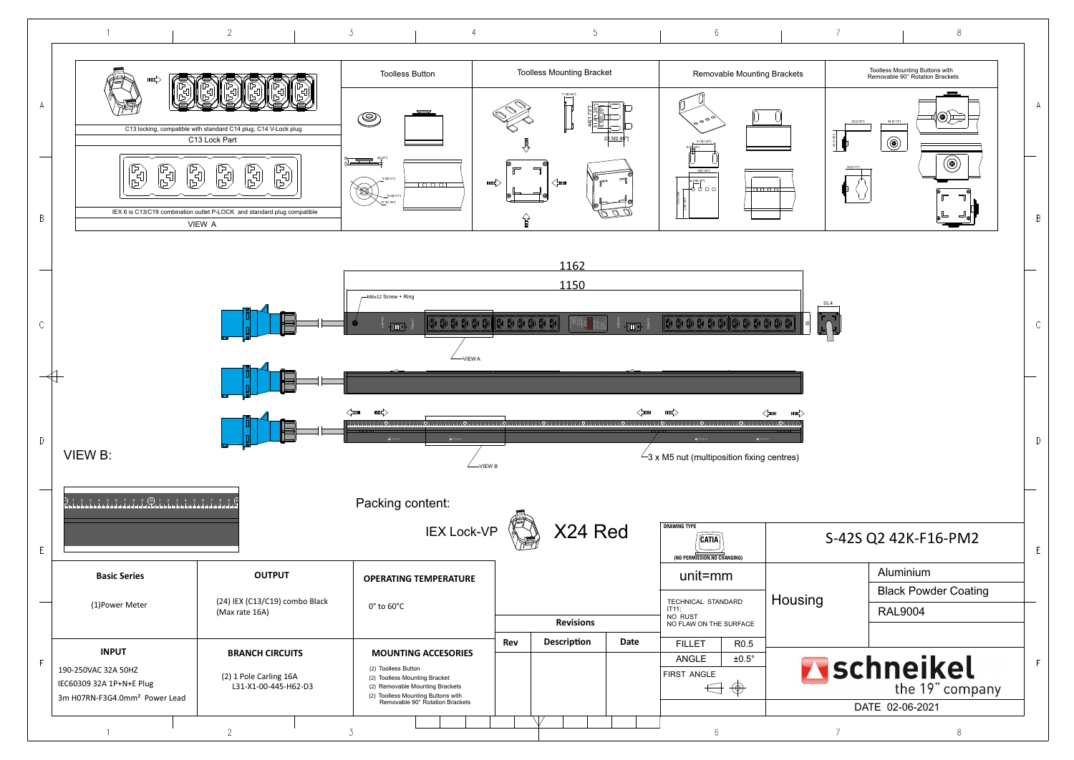